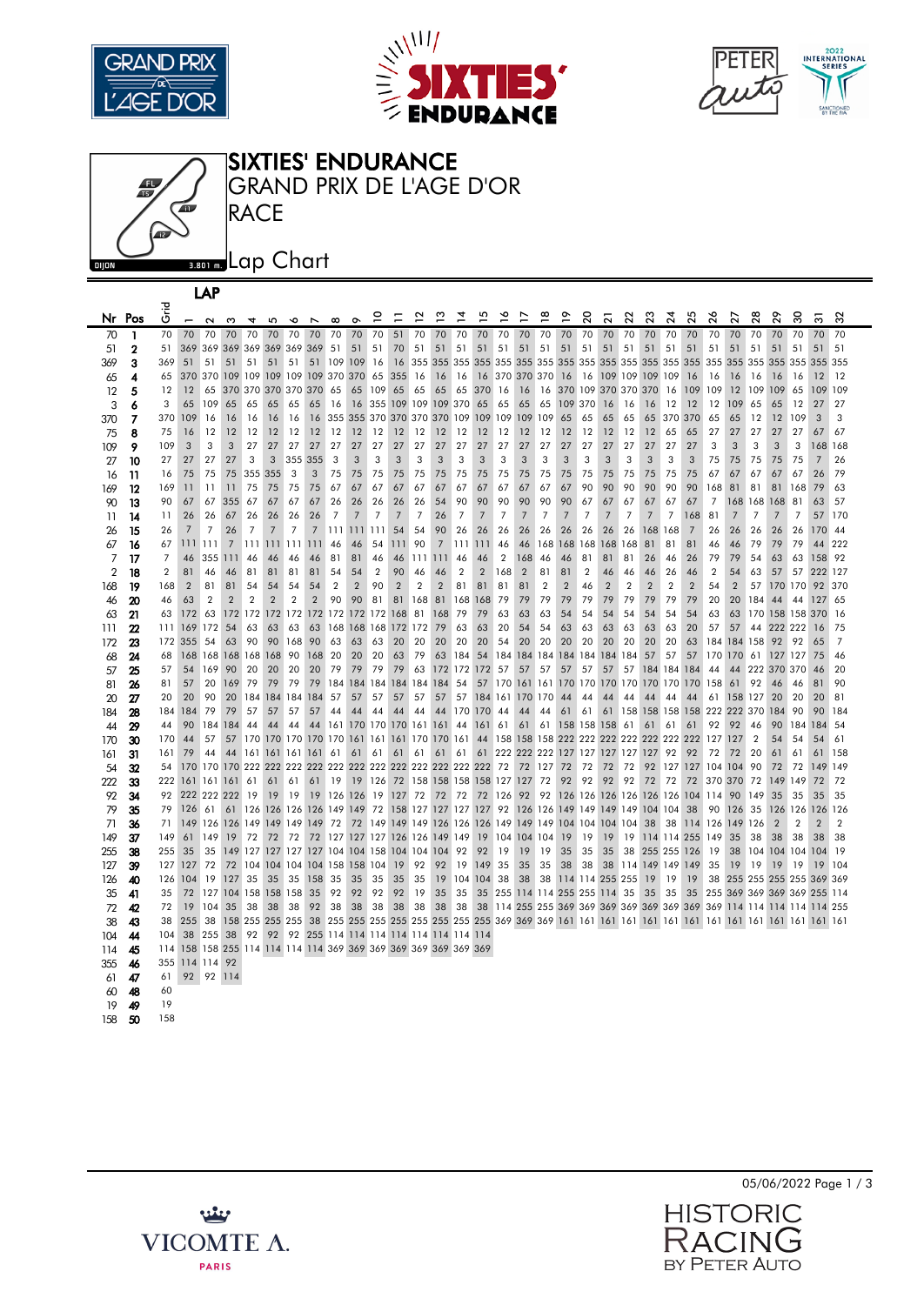







|                   | LAP            |                |                                                                 |                 |                 |                |                                     |                |                |                |                     |                |                |                |                                                |                |                |                 |                |                |                |                                                        |                |                |                |                 |                |                |                                                                        |                |                |                |                |                |
|-------------------|----------------|----------------|-----------------------------------------------------------------|-----------------|-----------------|----------------|-------------------------------------|----------------|----------------|----------------|---------------------|----------------|----------------|----------------|------------------------------------------------|----------------|----------------|-----------------|----------------|----------------|----------------|--------------------------------------------------------|----------------|----------------|----------------|-----------------|----------------|----------------|------------------------------------------------------------------------|----------------|----------------|----------------|----------------|----------------|
|                   | Nr Pos         | ہے۔<br>5       | $\overline{ }$                                                  | $\sim$          | ო               | $\overline{a}$ | 5                                   | $\bullet$      | $\overline{ }$ | $\infty$       | $\sigma$            | ္              | Ξ              | ∼              | $\frac{3}{2}$                                  | ٦,             | ءِ             | ⋍               |                | ≌              | °              | 20                                                     | 2              | ನ              | ន              | $\overline{24}$ | 25             | 26             | 27                                                                     | 28             | 29             | 30             | స్             | 32             |
| 70                | -1             | 70             | 70 70                                                           |                 | 70              | 70             | 70                                  | 70             | 70             | 70             | 70                  | 70             | 51             | 70             | 70                                             | 70             | 70             | 70              | 70             | 70             | 70             | 70                                                     | 70             | 70             | 70             | 70              | 70             | 70             | 70                                                                     | 70             | 70             | 70             | 70             | 70             |
| 51                | $\mathbf{2}$   | 51             |                                                                 |                 |                 |                | 369 369 369 369 369 369 369         |                |                | 51             | 51                  | 51             | 70             | 51             | 51                                             | 51             | 51             | 51              | 51             | 51             | 51             | 51                                                     | 51             | 51             | 51             | 51              | 51             | 51             | 51                                                                     | 51             | 51             | 51             | 51             | 51             |
| 369               | 3              | 369            | 51                                                              | 51              | 51              | 51             | 51                                  | 51             | 51             | 109            | 109                 | -16            |                |                |                                                |                |                |                 |                |                |                |                                                        |                |                |                |                 |                |                | 355 355 355 355 355                                                    |                |                |                | 355 355        |                |
| 65                | 4              | 65             |                                                                 | 370 370 109 109 |                 |                | 109 109                             |                | 109 370        |                | 370                 | 65             | 355            | 16             | 16                                             | 16             |                | 16 370 370 370  |                |                | 16             | 16                                                     | 109            | 109            | 109            | 109             | 16             | 16             | 16                                                                     | 16             | 16             | 16             | 12             | 12             |
| $12 \overline{ }$ | 5              | 12             | 12                                                              | 65              |                 |                | 370 370 370 370 370                 |                |                | 65             | 65                  | 109            | 65             | 65             | 65                                             | 65             | 370            | -16             | 16             | 16             |                | 370 109                                                | 370 370        |                | 370            | 16              | 109            | 109            | 12                                                                     | 109            | 109            | 65             | 109 109        |                |
| 3                 | 6              | 3              | 65                                                              | 109             | 65              | 65             | 65                                  | 65             | 65             | 16             | 16                  | 355            | 109            | 109            | 109                                            | 370            | 65             | 65              | 65             | 65             | 109            | 370                                                    | 16             | 16             | 16             | 12              | 12             | 12             | 109                                                                    | 65             | 65             | 12             | 27             | 27             |
| 370               | $\overline{7}$ | 370            | 109                                                             | 16              | 16              | 16             | 16                                  | 16             | 16             |                |                     |                |                |                | 355 355 370 370 370 370 109 109 109            |                |                |                 | 109            | 109            | 65             | 65                                                     | 65             | 65             | 65             | 370             | 370            | 65             | 65                                                                     | 12             | 12             | 109            | 3              | 3              |
| 75                | 8              | 75             | 16                                                              | 12              | 12              | 12             | 12                                  | 12             | 12             | 12             | 12                  | 12             | 12             | 12             | 12                                             | 12             | 12             | 12              | 12             | 12             | 12             | 12                                                     | 12             | 12             | 12             | 65              | 65             | 27             | 27                                                                     | 27             | 27             | 27             | 67             | 67             |
| 109               | 9              | 109            | 3                                                               | 3               | 3               | 27             | 27                                  | 27             | 27             | 27             | 27                  | 27             | 27             | 27             | 27                                             | 27             | 27             | 27              | 27             | 27             | 27             | 27                                                     | 27             | 27             | 27             | 27              | 27             | 3              | 3                                                                      | 3              | 3              | 3              | 168 168        |                |
| 27                | 10             | 27             | 27                                                              | 27              | 27              | 3              | 3                                   |                | 355 355        | 3              | 3                   | 3              | 3              | 3              | 3                                              | 3              | 3              | 3               | 3              | 3              | 3              | 3                                                      | 3              | 3              | 3              | 3               | 3              | 75             | 75                                                                     | 75             | 75             | 75             | $\overline{7}$ | 26             |
| 16                | 11             | 16             | 75                                                              | 75              | 75              |                | 355 355                             | 3              | 3              | 75             | 75                  | 75             | 75             | 75             | 75                                             | 75             | 75             | 75              | 75             | 75             | 75             | 75                                                     | 75             | 75             | 75             | 75              | 75             | 67             | 67                                                                     | 67             | 67             | 67             | 26             | 79             |
| 169               | 12             | 169            | 11                                                              | 11              | 11              | 75             | 75                                  | 75             | 75             | 67             | 67                  | 67             | 67             | 67             | 67                                             | 67             | 67             | 67              | 67             | 67             | 67             | 90                                                     | 90             | 90             | 90             | 90              | 90             | 168            | 81                                                                     | 81             | 81             | 168            | 79             | 63             |
| 90                | 13             | 90             | 67                                                              | 67              | 355 67          |                | 67                                  | 67             | 67             | 26             | 26                  | 26             | 26             | 26             | 54                                             | 90             | 90             | 90              | 90             | 90             | 90             | 67                                                     | 67             | 67             | 67             | 67              | 67             | $\overline{7}$ | 168 168                                                                |                | 168            | 81             | 63             | 57             |
| 11                | 14             | 11             | 26                                                              | 26              | 67              | 26             | 26                                  | 26             | 26             | $\overline{7}$ | $\overline{7}$      | $\overline{7}$ | $\overline{7}$ | $\overline{7}$ | 26                                             | $\overline{7}$ | $\overline{7}$ | $\overline{7}$  | $\overline{7}$ | $\overline{7}$ | $\overline{7}$ | $\overline{7}$                                         | $\overline{7}$ | $\overline{7}$ | $\overline{7}$ | $\overline{7}$  | 168            | 81             | $\overline{7}$                                                         | $\overline{7}$ | $\overline{7}$ | $\overline{7}$ | 57             | 170            |
| 26                | 15             | 26             | $\overline{7}$                                                  | $\overline{7}$  | 26              | $\overline{7}$ | 7                                   | $\overline{7}$ | $\overline{7}$ | 111            | 111                 | 111            | 54             | 54             | 90                                             | 26             | 26             | 26              | 26             | 26             | 26             | 26                                                     | 26             | 26             | 168            | 168             | $\overline{7}$ | 26             | 26                                                                     | 26             | 26             | 26             | 170 44         |                |
| 67                | 16             | 67             | 111 111                                                         |                 | $7\overline{ }$ |                | 111 111 111 111                     |                |                | -46            | 46                  | 54             | 111            | 90             | $\overline{7}$                                 | 111 111        |                | 46              | 46             |                |                | 168 168 168 168 168                                    |                |                | 81             | 81              | 81             | 46             | 46                                                                     | 79             | 79             | 79             | 44             | 222            |
| $\overline{7}$    | 17             | $\overline{7}$ | 46                                                              | 355 111         |                 | 46             | 46                                  | 46             | 46             | 81             | 81                  | 46             | 46             | 111111         |                                                | -46            | 46             | $\overline{2}$  | 168            | 46             | 46             | 81                                                     | 81             | 81             | 26             | 46              | 26             | 79             | 79                                                                     | 54             | 63             | 63             | 158 92         |                |
| $\overline{2}$    | 18             | $\overline{2}$ | 81                                                              | 46              | 46              | 81             | 81                                  | 81             | 81             | 54             | 54                  | $\overline{2}$ | 90             | 46             | 46                                             | $\overline{2}$ | $\overline{2}$ | 168             | $\overline{2}$ | 81             | 81             | $\overline{2}$                                         | 46             | 46             | 46             | 26              | 46             | $\overline{2}$ | 54                                                                     | 63             | 57             | 57             | 222 127        |                |
| 168               | 19             | 168            | $\overline{2}$                                                  | 81              | 81              | 54             | 54                                  | 54             | 54             | $\overline{2}$ | $\overline{2}$      | 90             | $\overline{2}$ | $\overline{2}$ | $\overline{2}$                                 | 81             | 81             | 81              | 81             | $\overline{2}$ | $\overline{2}$ | 46                                                     | $\overline{2}$ | $\overline{2}$ | $\overline{2}$ | $\overline{2}$  | $\overline{2}$ | 54             | $\overline{2}$                                                         | 57             | 170 170        |                | 92 370         |                |
| 46                | 20             | 46             | 63                                                              | $\overline{2}$  | $\overline{2}$  | $\overline{2}$ | $\overline{2}$                      | $\overline{2}$ | $\overline{2}$ | 90             | 90                  | 81             | 81             | 168            | 81                                             | 168            | 168            | 79              | 79             | 79             | 79             | 79                                                     | 79             | 79             | 79             | 79              | 79             | 20             | 20                                                                     | 184            | 44             | 44             | 127 65         |                |
| 63                | 21             | 63             | 172 63                                                          |                 |                 |                | 172 172 172 172 172 172 172 172 168 |                |                |                |                     |                |                | 81             | 168                                            | 79             | 79             | 63              | 63             | 63             | 54             | 54                                                     | 54             | 54             | 54             | 54              | 54             | 63             | 63                                                                     |                | 170 158 158    |                | 370            | <b>16</b>      |
| 111               | 22             | 111            | 169                                                             | 172             | 54              | 63             | 63                                  | 63             | 63             |                | 168 168 168 172 172 |                |                |                | 79                                             | 63             | 63             | 20              | 54             | 54             | 63             | 63                                                     | 63             | 63             | 63             | 63              | 20             | 57             | 57                                                                     | 44             | 222 222        |                | 16             | 75             |
| 172               | 23             | 172            | 355                                                             | 54              | 63              | 90             | 90                                  | 168            | 90             | 63             | 63                  | 63             | 20             | 20             | 20                                             | 20             | 20             | 54              | 20             | 20             | 20             | 20                                                     | 20             | 20             | 20             | 20              | 63             |                | 184 184 158                                                            |                | 92             | 92             | 65             | $\overline{7}$ |
| 68                | 24             | 68             |                                                                 |                 |                 |                | 168 168 168 168 168 90              |                | 168            | 20             | 20                  | 20             | 63             | 79             | 63                                             | 184            | 54             | 184             |                |                |                | 184 184 184 184 184 184                                |                |                | 57             | 57              | 57             |                | 170 170 61                                                             |                | 127 127        |                | 75             | 46             |
| 57                | 25             | 57             | 54                                                              | 169             | 90              | 20             | 20                                  | 20             | 20             | 79             | 79                  | 79             | 79             | 63             | 172 172 172                                    |                |                | 57              | 57             | 57             | 57             | 57                                                     | 57             | 57             |                | 184 184 184     |                | 44             | 44                                                                     |                | 222 370 370    |                | 46             | 20             |
| 81                | 26             | 81             | 57                                                              | 20<br>90        | 169             | 79             | 79                                  | 79             | 79             | 184            | 184 184             |                |                | 184 184        | 184                                            | 54             | 57             | 170             | <b>161</b>     |                |                | 161 170 170 170 170                                    |                |                |                | 170 170 170     |                | 158            | 61                                                                     | 92             | 46             | 46<br>20       | 81             | 90             |
| 20                | 27             | 20<br>184      | 20<br>184                                                       | 79              | 20<br>79        | 57             | 184 184 184 184<br>57               | 57             | 57             | 57             | 57                  | 57             | 57             | 57             | 57                                             | 57<br>170      | 170            | 184 161 170 170 |                |                | 44<br>61       | 44<br>61                                               | 44<br>61       | 44<br>158      | 44<br>158 158  | 44              | 44<br>158      | 61             | 158 127<br>222 222 370                                                 |                | 20<br>184      | 90             | 20<br>90       | 81<br>184      |
| 184               | 28<br>29       | 44             | 90                                                              | 184 184         |                 | 44             | 44                                  | 44             | 44             | 44             | 44                  | 44             | 44             | 44             | 44<br>161 170 170 170 161 161 44               |                | 161            | -44<br>61       | 44<br>61       | 44<br>61       |                | 158 158 158                                            |                | 61             | 61             | 61              | 61             | 92             | 92                                                                     | 46             | 90             | 184            | 184            | .54            |
| 44<br>170         |                | 170            | 44                                                              | 57              |                 |                |                                     |                |                |                |                     |                |                |                | 57 170 170 170 170 170 161 161 161 170 170 161 |                |                |                 |                |                |                | 44 158 158 158 222 222 222 222 222 222 222             |                |                |                |                 |                | 127            | 127                                                                    | $\overline{2}$ | 54             | 54             | 54             | 61             |
| 161               | 30<br>31       | 161            | 79                                                              | 44              | 44              | 161            | 161 161 161 61                      |                |                |                | 61                  | 61             | 61             | 61             | 61                                             | 61             | 61             |                 |                |                |                | 222 222 222 127 127 127 127 127                        |                |                |                | 92              | 92             | 72             | 72                                                                     | 20             | 61             | 61             | 61             | 158            |
| 54                | 32             | 54             |                                                                 |                 |                 |                |                                     |                |                |                |                     |                |                |                |                                                |                |                |                 | 72             | 127            | 72             | 72                                                     | 72             | 72             | 92             | 127 127         |                | 104            | 104                                                                    | 90             | 72             | 72             | 149 149        |                |
| 222               | 33             | 222            | 161 161 161 61                                                  |                 |                 |                | 61                                  | 61             | 61             | 19             | 19                  | 126            | 72             |                | 158 158 158 158 127 127                        |                |                |                 |                | 72             | 92             | 92                                                     | 92             | 92             | 72             | 72              | 72             |                | 370 370 72                                                             |                | 149            | 149            | 72             | 72             |
| 92                | 34             | 92             |                                                                 | 222 222 222 19  |                 |                | 19                                  | 19             |                |                | 19 126 126          | 19             | 127            | -72            | 72                                             | 72             |                | 72 126          | 92             | 92             |                | 126 126 126 126 126 126 104 114                        |                |                |                |                 |                |                | 90                                                                     | 149            | 35             | 35             | 35             | 35             |
| 79                | 35             | 79             | 126 61                                                          |                 |                 |                | 61 126 126 126 126 149 149 72       |                |                |                |                     |                |                |                |                                                |                |                |                 |                |                |                | 158 127 127 127 127 92 126 126 149 149 149 149 104 104 |                |                |                |                 | 38             | 90             | 126 35                                                                 |                |                | 126 126        | 126 126        |                |
| 71                | 36             | 71             |                                                                 |                 |                 |                | 149 126 126 149 149 149             |                | 149 72         |                |                     |                |                |                | 72 149 149 149 126 126 126 149 149 149         |                |                |                 |                |                |                | 104 104 104 104                                        |                |                | 38             | 38              |                | 114 126        | 149                                                                    | 126            | $\overline{2}$ | $\overline{2}$ | $\overline{2}$ | $\overline{2}$ |
| 149               | 37             | 149            | 61                                                              | <sup>149</sup>  | 19              | 72             | 72                                  | 72             |                |                |                     |                |                |                | 72 127 127 127 126 126 149 149                 |                | 19             | 104 104 104     |                |                | 19             | 19                                                     | 19             | 19             |                | 114 114 255 149 |                |                | 35                                                                     | 38             | 38             | 38             | 38             | 38             |
| 255               | 38             | 255            | 35                                                              | 35              |                 |                |                                     |                |                |                |                     |                |                |                | 149 127 127 127 127 104 104 158 104 104 104    | 92             | 92             | 19              | 19             | 19             | 35             | 35                                                     | 35             | 38             | 255 255        |                 | <b>126</b>     | 19             | 38                                                                     |                | 104 104 104    |                | 104 19         |                |
| 127               | 39             | 127            | 127                                                             | -72             |                 |                | 72 104 104 104 104 158 158 104      |                |                |                |                     |                | 19             | 92             | 92                                             | 19             | 149            | 35              | 35             | 35             | 38             | 38                                                     | 38             |                | 114 149 149    |                 | 149            | 35             | 19                                                                     | 19             | 19             | 19             | 19             | 104            |
| 126               | 40             | 126            | 104 19                                                          |                 | 127 35          |                | 35                                  | 35             | 158            | 35             | 35                  | 35             | 35             | 35             | 19                                             |                | 104 104        | 38              | 38             | 38             |                | 114 114 255 255                                        |                |                | 19             | 19              | 19             |                | 38 255 255 255 255 369 369                                             |                |                |                |                |                |
| 35                | 41             | 35             |                                                                 |                 |                 |                | 72 127 104 158 158 158              |                | 35             | 92             | 92                  | 92             | 92             | 19             | 35                                             | 35             |                |                 |                |                |                | 35 255 114 114 255 255 114 35                          |                |                | 35             | 35              | 35             |                | 255 369 369 369 369 255 114                                            |                |                |                |                |                |
| 72                | 42             | 72             | 19                                                              | 104             | 35              | 38             | 38                                  | 38             | 92             | 38             | 38                  | 38             | 38             | 38             | 38                                             | 38             |                |                 |                |                |                |                                                        |                |                |                |                 |                |                | 38 114 255 255 369 369 369 369 369 369 369 369 114 114 114 114 114 255 |                |                |                |                |                |
| 38                | 43             | 38             | 255 38                                                          |                 |                 |                | 158 255 255 255                     |                | 38             |                |                     |                |                |                |                                                |                |                |                 |                |                |                |                                                        |                |                |                |                 |                |                |                                                                        |                |                |                |                |                |
| 104               | 44             | 104            | 38                                                              | 255 38          |                 | 92             |                                     |                |                |                |                     |                |                |                | 92 92 255 114 114 114 114 114 114 114 114      |                |                |                 |                |                |                |                                                        |                |                |                |                 |                |                |                                                                        |                |                |                |                |                |
| 114               | 45             |                | 114 158 158 255 114 114 114 114 369 369 369 369 369 369 369 369 |                 |                 |                |                                     |                |                |                |                     |                |                |                |                                                |                |                |                 |                |                |                |                                                        |                |                |                |                 |                |                |                                                                        |                |                |                |                |                |
| 355               | 46             | 355            | 114 114 92                                                      |                 |                 |                |                                     |                |                |                |                     |                |                |                |                                                |                |                |                 |                |                |                |                                                        |                |                |                |                 |                |                |                                                                        |                |                |                |                |                |
| 61                | 47             | 61             |                                                                 | 92 92 114       |                 |                |                                     |                |                |                |                     |                |                |                |                                                |                |                |                 |                |                |                |                                                        |                |                |                |                 |                |                |                                                                        |                |                |                |                |                |
| 60                | 48             | 60             |                                                                 |                 |                 |                |                                     |                |                |                |                     |                |                |                |                                                |                |                |                 |                |                |                |                                                        |                |                |                |                 |                |                |                                                                        |                |                |                |                |                |
| 19                | 49             | 19             |                                                                 |                 |                 |                |                                     |                |                |                |                     |                |                |                |                                                |                |                |                 |                |                |                |                                                        |                |                |                |                 |                |                |                                                                        |                |                |                |                |                |
| 158               | 50             | 158            |                                                                 |                 |                 |                |                                     |                |                |                |                     |                |                |                |                                                |                |                |                 |                |                |                |                                                        |                |                |                |                 |                |                |                                                                        |                |                |                |                |                |





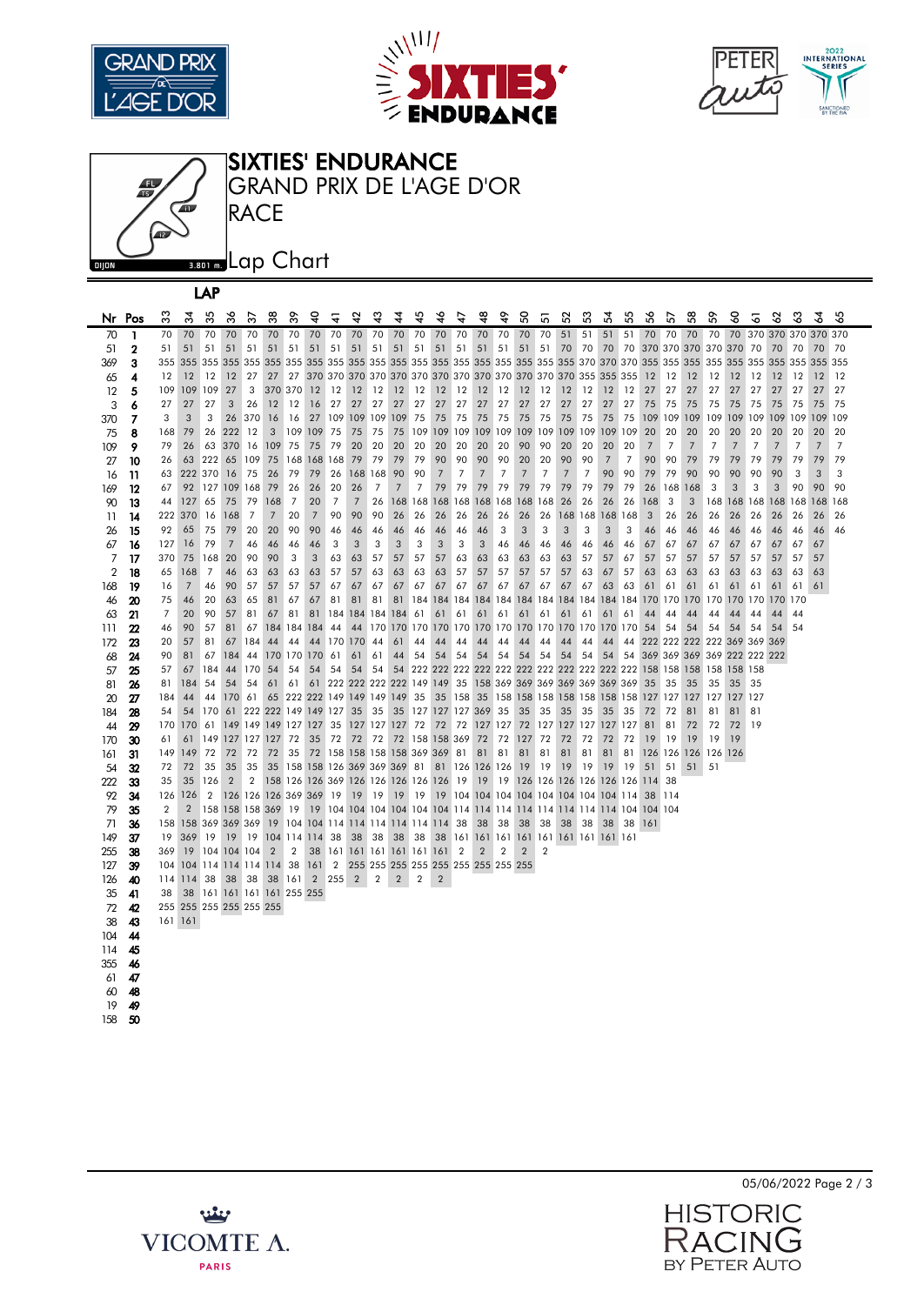

LAP







| Nr Pos         |                           | ౢ       | ਨੌ             | 35                         | న              | స్             | జ              | ్ల             | ទ                                      | ╦              | 4               | य़             | 4              | 42             | ३                                       | 47             | Ҿ              | ÷              | S,             | 5              | S2              | 33             | 24                                                            | 55             | 56      | 5              | 3              | ᠷ                                                           | ဒ္ဓ            | 2                      | 3              | ౘ   | 2              | 3              |
|----------------|---------------------------|---------|----------------|----------------------------|----------------|----------------|----------------|----------------|----------------------------------------|----------------|-----------------|----------------|----------------|----------------|-----------------------------------------|----------------|----------------|----------------|----------------|----------------|-----------------|----------------|---------------------------------------------------------------|----------------|---------|----------------|----------------|-------------------------------------------------------------|----------------|------------------------|----------------|-----|----------------|----------------|
| 70             | 1                         | 70      | 70             | 70                         | 70             | 70             | 70             | 70             | 70                                     | 70             | 70              | 70             | 70             | 70             | 70                                      | 70             | 70             | 70             | 70             | 70             | 51              | 51             | 51                                                            | 51             | 70      | 70             | 70             | 70                                                          |                | 70 370 370 370 370 370 |                |     |                |                |
| 51             | 2                         | 51      | 51             | 51                         | 51             | 51             | 51             | 51             | 51                                     | 51             | 51              | 51             | 51             | 51             | 51 51                                   |                | 51 51          |                |                | 51 51          | 70              | 70             | 70 70                                                         |                |         |                |                | 370 370 370 370 370 70                                      |                |                        | 70             | 70  | 70             | 70             |
| 369            | 3                         | 355     |                | 355 355                    |                | 355 355        |                |                |                                        |                |                 |                |                |                |                                         |                |                |                |                |                |                 |                |                                                               |                |         |                |                |                                                             | 355 355 355    |                        | 355            | 355 | 355            | 355            |
| 65             | 4                         | 12      | 12             | 12                         | 12             | 27             | 27             | 27             |                                        |                |                 |                |                |                |                                         |                |                |                |                |                |                 |                |                                                               |                | 12      | 12             | 12             | 12                                                          | 12             | 12                     | 12             | 12  | 12             | 12             |
| $12 \,$        | 5                         | 109     | 109 109        |                            | 27             | 3              |                | 370 370        | 12                                     | 12             | 12              | 12             | 12             | 12             | 12                                      | 12             | 12             | 12             | 12             | 12             | 12              | 12             | 12                                                            | 12             | 27      | 27             | 27             | 27                                                          | 27             | 27                     | 27             | 27  | 27             | 27             |
| 3              | 6                         | 27      | 27             | 27                         | 3              | 26             | 12             | 12             | 16                                     | 27             | 27              | 27             | 27             | 27             | 27                                      | 27             | 27             | 27             | 27             | 27             | 27              | 27             | 27                                                            | 27             | 75      | 75             | 75             | 75                                                          | 75             | 75                     | 75             | 75  | 75             | 75             |
| 370            | 7                         | 3       | 3              | 3                          | 26             | 370            | 16             | 16             | 27                                     | 109            | 109 109         |                | 109            | 75             | 75                                      | 75             | 75             | 75             | 75             | 75             | 75              | 75             | 75                                                            | 75             | 109     | 109            | 109            | 109                                                         | 109 109        |                        | 109            | 109 | 109            | 109            |
| 75             | 8                         | 168     | 79             | 26                         | 222            | 12             | 3              | 109            | 109                                    | 75             | 75              | 75             | 75             | 109            | 109 109                                 |                | 109 109        |                | 109 109        |                | 109             | 109            | 109                                                           | 109            | 20      | 20             | 20             | 20                                                          | 20             | 20                     | 20             | 20  | 20             | 20             |
| 109            | 9                         | 79      | 26             |                            | 63 370 16      |                | 109            | 75             | 75                                     | 79             | 20              | 20             | 20             | 20             | 20                                      | 20             | 20             | 20             | 90             | 90             | 20              | 20             | 20                                                            | 20             | 7       | $\overline{7}$ | $\overline{7}$ | 7                                                           | $\overline{7}$ | 7                      | $\overline{7}$ | 7   | $\overline{7}$ | $\overline{7}$ |
| 27             | 10                        | 26      |                | 63 222                     | 65             | 109            | 75             | 168            | 168 168                                |                | 79              | 79             | 79             | 79             | 90                                      | 90             | 90             | 90             | 20             | 20             | 90              | 90             | $\overline{7}$                                                | $\overline{7}$ | 90      | 90             | 79             | 79                                                          | 79             | 79                     | 79             | 79  | 79             | 79             |
| 16             | 11                        | 63      |                | 222 370                    | <b>16</b>      | 75             | 26             | 79             | 79                                     | 26             | 168 168         |                | 90             | 90             | 7                                       | 7              | 7              | $\overline{7}$ | 7              | $\overline{7}$ | $\overline{7}$  | $\overline{7}$ | 90                                                            | 90             | 79      | 79             | 90             | 90                                                          | 90             | 90                     | 90             | 3   | 3              | 3              |
| 169            | 12                        | 67      |                | 92 127 109 168             |                |                | 79             | 26             | 26                                     | 20             | 26              | $\overline{7}$ | $\overline{7}$ | $\overline{7}$ | 79                                      | 79             | 79             | 79             | 79             | 79             | 79              | 79             | 79                                                            | 79             | 26      | 168            | 168            | 3                                                           | 3              | 3                      | 3              | 90  | 90             | 90             |
| 90             | 13                        | 44      | 127            | 65                         | 75             | 79             | 168            | $\overline{7}$ | 20                                     | $\overline{7}$ | $7\overline{ }$ | 26             |                | 168 168        | 168 168                                 |                | 168            | 168            | 168            | 168            | 26              | 26             | 26                                                            | 26             | 168     | 3              | 3              | 168                                                         | 168            | 168                    | 168            | 168 | 168            | 168            |
| 11             | 14                        | 222     | 370            | 16                         | 168            | $\overline{7}$ | $\overline{7}$ | 20             | $7\overline{ }$                        | 90             | 90              | 90             | 26             | 26             | 26                                      | 26             | 26             | 26             | 26             | 26             | 168             | 168            | 168                                                           | 168            | 3       | 26             | 26             | 26                                                          | 26             | 26                     | 26             | 26  | 26             | 26             |
| 26             | 15                        | 92      | 65             | 75                         | 79             | 20             | 20             | 90             | 90                                     | 46             | 46              | 46             | 46             | 46             | 46                                      | 46             | 46             | 3              | 3              | 3              | 3               | 3              | 3                                                             | 3              | 46      | 46             | 46             | 46                                                          | 46             | 46                     | 46             | 46  | 46             | 46             |
| 67             | 16                        | 127     | 16             | 79                         | $\overline{7}$ | 46             | 46             | 46             | 46                                     | 3              | 3               | 3              | 3              | 3              | 3                                       | 3              | 3              | 46             | 46             | 46             | 46              | 46             | 46                                                            | 46             | 67      | 67             | 67             | 67                                                          | 67             | 67                     | 67             | 67  | 67             |                |
| 7              | 17                        | 370     | 75             | 168                        | 20             | 90             | 90             | 3              | 3                                      | 63             | 63              | 57             | 57             | 57             | 57                                      | 63             | 63             | 63             | 63             | 63             | 63              | 57             | 57                                                            | 67             | 57      | 57             | 57             | 57                                                          | 57             | 57                     | 57             | 57  | 57             |                |
| $\overline{2}$ | 18                        | 65      | 168            | 7                          | 46             | 63             | 63             | 63             | 63                                     | 57             | 57              | 63             | 63             | 63             | 63                                      | 57             | 57             | 57             | 57             | 57             | 57              | 63             | 67                                                            | 57             | 63      | 63             | 63             | 63                                                          | 63             | 63                     | 63             | 63  | 63             |                |
| 168            | -19                       | 16      | $\overline{7}$ | 46                         | 90             | 57             | 57             | 57             | 57                                     | 67             | 67              | 67             | 67             | 67             | 67                                      | 67             | 67             | 67             | 67             | 67             | 67              | 67             | 63                                                            | 63             | 61      | 61             | 61             | 61                                                          | 61             | 61                     | 61             | 61  | 61             |                |
| 46             | 20                        | 75      | 46             | 20                         | 63             | 65             | 81             | 67             | 67                                     | 81             | 81              | 81             | 81             |                | 184 184 184 184 184 184 184             |                |                |                |                |                |                 | 184 184        | 184 184                                                       |                | 170 170 |                | 170            | 170                                                         | 170 170        |                        | 170            | 170 |                |                |
| 63             | 21                        | 7       | 20             | 90                         | 57             | 81             | 67             | 81             | 81                                     |                | 184 184 184     |                | 184 61         |                | 61                                      | 61             | 61             | 61             | 61             | 61             | 61              | 61             | 61                                                            | 61             | 44      | 44             | 44             | 44                                                          | 44             | 44                     | 44             | 44  |                |                |
| 111            | $\boldsymbol{\mathsf{2}}$ | 46      | 90             | 57                         | 81             | 67             |                | 184 184        | 184                                    | 44             | 44              | 170            |                |                | 170 170 170 170 170 170 170 170 170 170 |                |                |                |                |                |                 |                | 170 170                                                       |                | 54      | 54             | 54             | 54                                                          | 54             | 54                     | 54             | 54  |                |                |
| 172            | 23                        | 20      | 57             | 81                         | 67             | 184            | 44             | 44             | 44                                     |                | 170 170         | 44             | 61             | 44             | 44                                      | 44             | 44             | 44             | 44             | 44             | 44              | 44             | 44                                                            | 44             |         |                |                | 222 222 222 222 369 369                                     |                |                        | 369            |     |                |                |
| 68             | 24                        | 90      | 81             | 67                         | 184            | 44             |                | 170 170        | 170                                    | 61             | 61              | 61             | 44             | 54             | 54                                      | 54             | 54             | 54             | 54             | 54             | 54              | 54             | 54                                                            | 54             |         |                |                | 369 369 369 369 222 222 222                                 |                |                        |                |     |                |                |
| 57             | 25                        | 57      | 67             | 184                        | 44             | 170            | 54             | 54             | 54                                     | 54             | 54              | 54             | 54             |                |                                         |                |                |                |                |                |                 |                |                                                               |                |         |                |                | 222 222 222 222 222 222 222 222 222 222 222 158 158 158 158 | 158 158        |                        |                |     |                |                |
| 81             | 26                        | 81      | 184            | 54                         | 54             | 54             | 61             | 61             |                                        |                |                 |                |                |                |                                         |                |                |                |                |                |                 |                | 61 222 222 222 222 149 149 35 158 369 369 369 369 369 369 369 |                | 35      | -35            | 35             | 35                                                          | 35             | 35                     |                |     |                |                |
| 20             | 27                        | 184     | 44             | 44                         | 170 61         |                |                |                | 65 222 222 149 149 149 149 35          |                |                 |                |                |                |                                         |                |                |                |                |                |                 |                | 35 158 35 158 158 158 158 158 158 158                         |                | 127 127 |                | 127            | 127                                                         | 127 127        |                        |                |     |                |                |
| 184            | 28                        | 54      | 54             | 170                        |                |                |                |                | 61 222 222 149 149 127                 |                | 35              | 35             |                |                | 35 127 127 127 369 35                   |                |                |                | 35 35          |                | 35 <sup>5</sup> | -35            | 35                                                            | 35             | 72      | 72             | 81             | 81                                                          | 81             | 81                     |                |     |                |                |
| 44             | 29                        | 170     | 170 61         |                            |                |                |                |                | 149 149 149 127 127 35                 |                | 127 127 127 72  |                |                |                | 72 72                                   |                | 127 127        |                |                | 72 127         | 127 127         |                | 127 127                                                       |                | 81      | 81             | 72             | 72                                                          | 72             | 19                     |                |     |                |                |
| 170            | 30                        | 61      | 61             | 149 127 127 127 72         |                |                |                |                | 35                                     | 72             | 72              | 72             |                |                | 72 158 158 369                          |                | 72             | 72             | 127            | 72             | 72              | 72             | 72                                                            | 72             | 19      | 19             | 19             | 19                                                          | 19             |                        |                |     |                |                |
| 161            | 31                        | 149     | 149            | 72                         | 72             | 72             | 72             | 35             |                                        |                |                 |                |                |                | 72 158 158 158 158 369 369 81           |                | 81             | 81             | 81             | 81             | 81              | 81             | 81                                                            | 81             |         |                |                | 126 126 126 126 126                                         |                |                        |                |     |                |                |
| 54             | 32                        | 72      | 72             | 35                         | 35             | 35             |                |                | 35 158 158 126 369 369 369 81          |                |                 |                |                |                |                                         |                | 81 126 126 126 |                | 19             | 19             | 19              | -19            | 19                                                            | -19            | 51      | 51             | 51             | 51                                                          |                |                        |                |     |                |                |
| 222            | 33                        | 35      | 35             | 126                        | $\overline{2}$ | $\overline{2}$ |                |                | 158 126 126 369 126 126 126 126 126 19 |                |                 |                |                |                |                                         |                |                |                |                |                |                 |                | 19 19 126 126 126 126 126 126 114 38                          |                |         |                |                |                                                             |                |                        |                |     |                |                |
| 92             | 34                        | 126     | 126            | $\overline{2}$             |                |                |                |                | 126 126 126 369 369 19                 |                | 19              | 19             |                | 19 19          |                                         |                |                |                |                |                |                 |                | 19 104 104 104 104 104 104 104 104 114                        |                | 38 114  |                |                |                                                             |                |                        |                |     |                |                |
| 79             | 35                        | 2       | $\overline{2}$ | 158 158 158 369 19         |                |                |                |                |                                        |                |                 |                |                |                |                                         |                |                |                |                |                |                 |                |                                                               |                |         |                |                |                                                             |                |                        |                |     |                |                |
| 71             | 36                        | 158     |                | 158 369 369 369            |                |                |                |                | 19 104 104 114 114 114 114 114 114 38  |                |                 |                |                |                |                                         |                | 38 38          |                | 38 38          |                |                 | 38 38          | 38 38                                                         |                | 161     |                |                |                                                             |                |                        |                |     |                |                |
| 149            | 37                        | 19      | 369            | 19                         | 19             |                |                |                | 19 104 114 114 38                      |                | 38              | 38             |                | 38 38          |                                         |                |                |                |                |                |                 |                | 38 161 161 161 161 161 161 161 161 161                        |                |         |                |                |                                                             |                |                        |                |     |                |                |
| 255            | 38                        | 369     | 19             | 104 104 104                |                |                | $\overline{2}$ | 2              | 38                                     |                |                 |                |                |                | 161 161 161 161 161 161                 | $\overline{2}$ | 2              | $\overline{2}$ | $\overline{2}$ | $\overline{2}$ |                 |                |                                                               |                |         |                |                |                                                             |                |                        |                |     |                |                |
| 127            | 39                        | 104     |                | 104 114 114 114 114        |                |                |                | 38             | 161                                    | $\overline{2}$ |                 |                |                |                | 255 255 255 255 255 255 255 255 255     |                |                |                |                |                |                 |                |                                                               |                |         |                |                |                                                             |                |                        |                |     |                |                |
| 126            | 40                        |         | 114 114        | 38                         | 38             | 38             |                | 38 161         |                                        |                | 2 2 5 2         | 2              | $\overline{2}$ | 2              | $\overline{2}$                          |                |                |                |                |                |                 |                |                                                               |                |         |                |                |                                                             |                |                        |                |     |                |                |
| 35             | 41                        | 38      |                | 38 161 161 161 161 255 255 |                |                |                |                |                                        |                |                 |                |                |                |                                         |                |                |                |                |                |                 |                |                                                               |                |         |                |                |                                                             |                |                        |                |     |                |                |
| 72             | 42                        |         |                | 255 255 255 255 255 255    |                |                |                |                |                                        |                |                 |                |                |                |                                         |                |                |                |                |                |                 |                |                                                               |                |         |                |                |                                                             |                |                        |                |     |                |                |
| 38             | 43                        | 161 161 |                |                            |                |                |                |                |                                        |                |                 |                |                |                |                                         |                |                |                |                |                |                 |                |                                                               |                |         |                |                |                                                             |                |                        |                |     |                |                |
| 104            | 44                        |         |                |                            |                |                |                |                |                                        |                |                 |                |                |                |                                         |                |                |                |                |                |                 |                |                                                               |                |         |                |                |                                                             |                |                        |                |     |                |                |
| 114            | 45                        |         |                |                            |                |                |                |                |                                        |                |                 |                |                |                |                                         |                |                |                |                |                |                 |                |                                                               |                |         |                |                |                                                             |                |                        |                |     |                |                |
| 355            | 46                        |         |                |                            |                |                |                |                |                                        |                |                 |                |                |                |                                         |                |                |                |                |                |                 |                |                                                               |                |         |                |                |                                                             |                |                        |                |     |                |                |
| 61             | 47                        |         |                |                            |                |                |                |                |                                        |                |                 |                |                |                |                                         |                |                |                |                |                |                 |                |                                                               |                |         |                |                |                                                             |                |                        |                |     |                |                |
| 60             | 48                        |         |                |                            |                |                |                |                |                                        |                |                 |                |                |                |                                         |                |                |                |                |                |                 |                |                                                               |                |         |                |                |                                                             |                |                        |                |     |                |                |
| 19             | 49                        |         |                |                            |                |                |                |                |                                        |                |                 |                |                |                |                                         |                |                |                |                |                |                 |                |                                                               |                |         |                |                |                                                             |                |                        |                |     |                |                |
| 158            | 50                        |         |                |                            |                |                |                |                |                                        |                |                 |                |                |                |                                         |                |                |                |                |                |                 |                |                                                               |                |         |                |                |                                                             |                |                        |                |     |                |                |